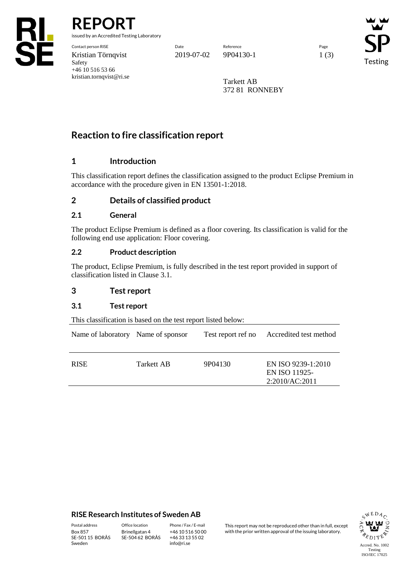

**REPORT**

issued by an Accredited Testing Laboratory

Contact person RISE Date Reference Page Kristian Törnqvist 2019-07-02 9P04130-1 1 (3) Safety +46 10 516 53 66 kristian.tornqvist@ri.se

Testing

Tarkett AB 372 81 RONNEBY

# **Reaction to fire classification report**

# **1 Introduction**

This classification report defines the classification assigned to the product Eclipse Premium in accordance with the procedure given in EN 13501-1:2018.

## **2 Details of classified product**

## **2.1 General**

The product Eclipse Premium is defined as a floor covering. Its classification is valid for the following end use application: Floor covering.

## **2.2 Product description**

The product, Eclipse Premium, is fully described in the test report provided in support of classification listed in Clause 3.1.

## **3 Test report**

## **3.1 Test report**

This classification is based on the test report listed below:

| Name of laboratory Name of sponsor |            |         | Test report ref no Accredited test method             |
|------------------------------------|------------|---------|-------------------------------------------------------|
| <b>RISE</b>                        | Tarkett AB | 9P04130 | EN ISO 9239-1:2010<br>EN ISO 11925-<br>2:2010/AC:2011 |

## **RISE Research Institutes of Sweden AB**

SE-501 15 BORÅS Sweden

Brinellgatan 4 SE-504 62 BORÅS

+46 10 516 50 00 +46 33 13 55 02 info@ri.se

Postal address Office location Phone / Fax / E-mail This report may not be reproduced other than in full, except<br>
Phone / Fax / E-mail This report may not be reproduced other issuing laboratory. with the prior written approval of the issuing laboratory.

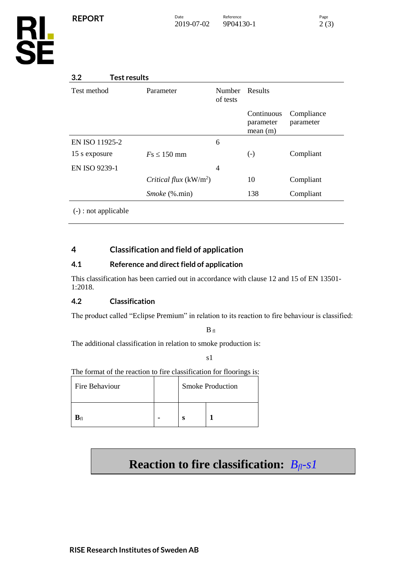

# **3.2 Test results**

| Test method            | Parameter               | <b>Number</b><br>of tests | Results                            |                         |
|------------------------|-------------------------|---------------------------|------------------------------------|-------------------------|
|                        |                         |                           | Continuous<br>parameter<br>mean(m) | Compliance<br>parameter |
| EN ISO 11925-2         |                         | 6                         |                                    |                         |
| 15 s exposure          | $Fs \leq 150$ mm        |                           | $\left( -\right)$                  | Compliant               |
| EN ISO 9239-1          |                         | 4                         |                                    |                         |
|                        | Critical flux $(kW/m2)$ |                           | 10                                 | Compliant               |
|                        | <i>Smoke</i> (%.min)    |                           | 138                                | Compliant               |
| $(-)$ : not applicable |                         |                           |                                    |                         |

# **4 Classification and field of application**

# **4.1 Reference and direct field of application**

This classification has been carried out in accordance with clause 12 and 15 of EN 13501- 1:2018.

# **4.2 Classification**

The product called "Eclipse Premium" in relation to its reaction to fire behaviour is classified:

 $B$  fl

The additional classification in relation to smoke production is:

s1

The format of the reaction to fire classification for floorings is:

| Fire Behaviour        |  | <b>Smoke Production</b> |  |  |
|-----------------------|--|-------------------------|--|--|
| $\mathbf{B}_{\rm fl}$ |  |                         |  |  |

# **Reaction to fire classification:** *Bfl-s1*